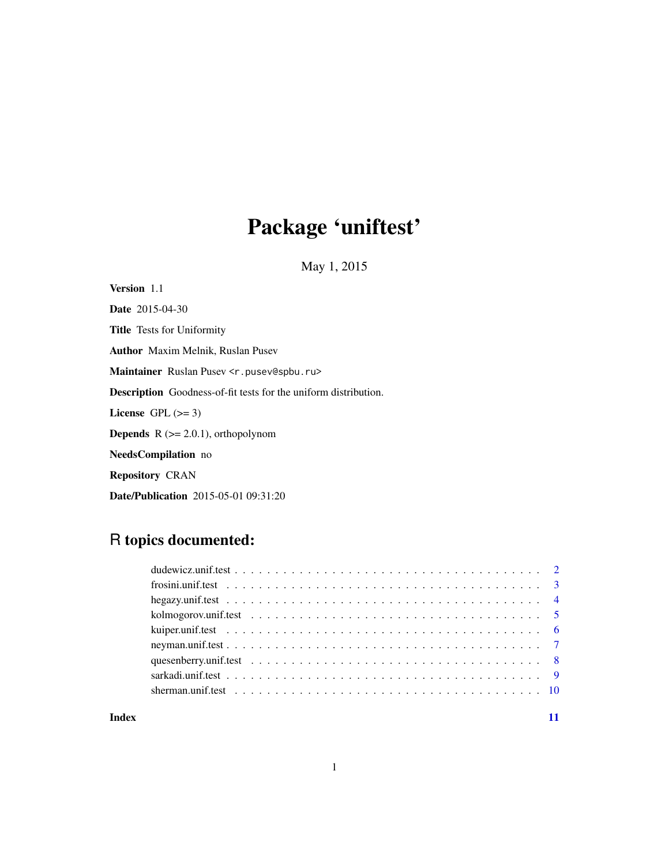# Package 'uniftest'

May 1, 2015

Version 1.1 Date 2015-04-30 Title Tests for Uniformity Author Maxim Melnik, Ruslan Pusev Maintainer Ruslan Pusev <r.pusev@spbu.ru> Description Goodness-of-fit tests for the uniform distribution. License GPL  $(>= 3)$ **Depends**  $R$  ( $>= 2.0.1$ ), orthopolynom NeedsCompilation no Repository CRAN Date/Publication 2015-05-01 09:31:20

# R topics documented:

#### **Index** [11](#page-10-0)

1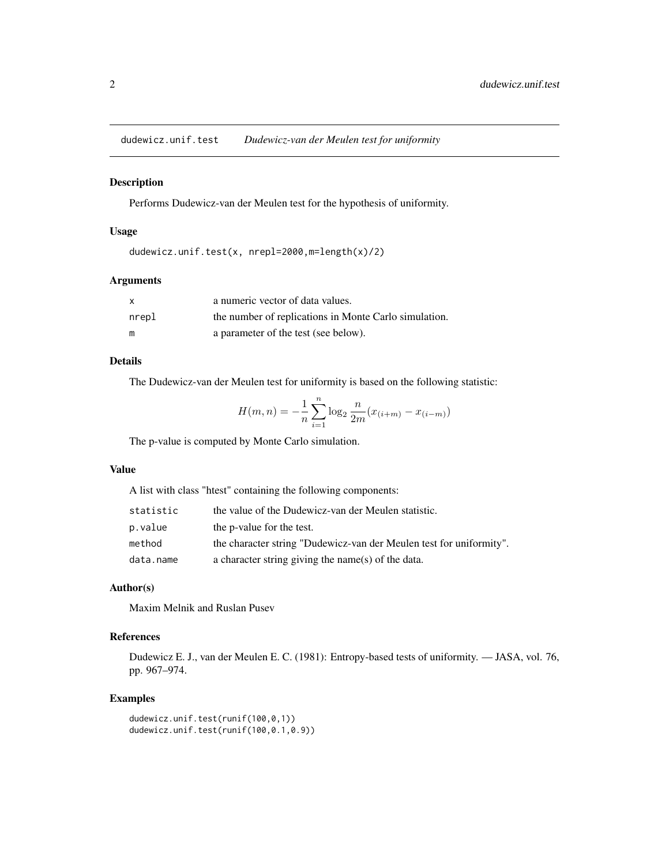<span id="page-1-0"></span>dudewicz.unif.test *Dudewicz-van der Meulen test for uniformity*

#### Description

Performs Dudewicz-van der Meulen test for the hypothesis of uniformity.

#### Usage

```
dudewicz.unif.test(x, nrepl=2000,m=length(x)/2)
```
#### Arguments

| X     | a numeric vector of data values.                      |
|-------|-------------------------------------------------------|
| nrepl | the number of replications in Monte Carlo simulation. |
| m     | a parameter of the test (see below).                  |

# Details

The Dudewicz-van der Meulen test for uniformity is based on the following statistic:

$$
H(m, n) = -\frac{1}{n} \sum_{i=1}^{n} \log_2 \frac{n}{2m} (x_{(i+m)} - x_{(i-m)})
$$

The p-value is computed by Monte Carlo simulation.

#### Value

A list with class "htest" containing the following components:

| statistic | the value of the Dudewicz-van der Meulen statistic.                 |
|-----------|---------------------------------------------------------------------|
| p.value   | the p-value for the test.                                           |
| method    | the character string "Dudewicz-van der Meulen test for uniformity". |
| data.name | a character string giving the name(s) of the data.                  |

#### Author(s)

Maxim Melnik and Ruslan Pusev

# References

Dudewicz E. J., van der Meulen E. C. (1981): Entropy-based tests of uniformity. — JASA, vol. 76, pp. 967–974.

```
dudewicz.unif.test(runif(100,0,1))
dudewicz.unif.test(runif(100,0.1,0.9))
```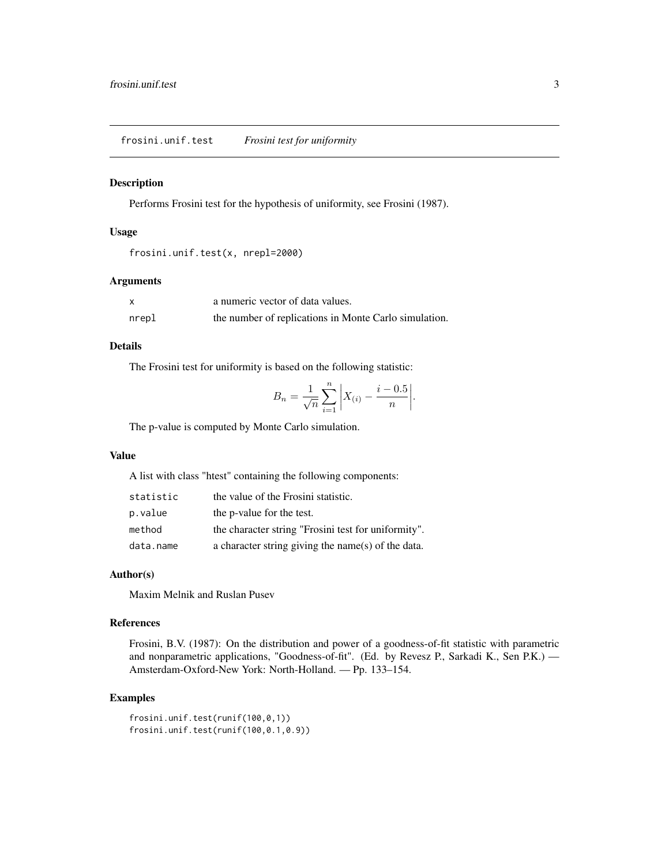<span id="page-2-0"></span>frosini.unif.test *Frosini test for uniformity*

#### Description

Performs Frosini test for the hypothesis of uniformity, see Frosini (1987).

#### Usage

```
frosini.unif.test(x, nrepl=2000)
```
#### Arguments

| x     | a numeric vector of data values.                      |
|-------|-------------------------------------------------------|
| nrepl | the number of replications in Monte Carlo simulation. |

#### Details

The Frosini test for uniformity is based on the following statistic:

$$
B_n = \frac{1}{\sqrt{n}} \sum_{i=1}^n \left| X_{(i)} - \frac{i - 0.5}{n} \right|.
$$

The p-value is computed by Monte Carlo simulation.

#### Value

A list with class "htest" containing the following components:

| statistic | the value of the Frosini statistic.                 |
|-----------|-----------------------------------------------------|
| p.value   | the p-value for the test.                           |
| method    | the character string "Frosini test for uniformity". |
| data.name | a character string giving the name(s) of the data.  |

#### Author(s)

Maxim Melnik and Ruslan Pusev

#### References

Frosini, B.V. (1987): On the distribution and power of a goodness-of-fit statistic with parametric and nonparametric applications, "Goodness-of-fit". (Ed. by Revesz P., Sarkadi K., Sen P.K.) — Amsterdam-Oxford-New York: North-Holland. — Pp. 133–154.

```
frosini.unif.test(runif(100,0,1))
frosini.unif.test(runif(100,0.1,0.9))
```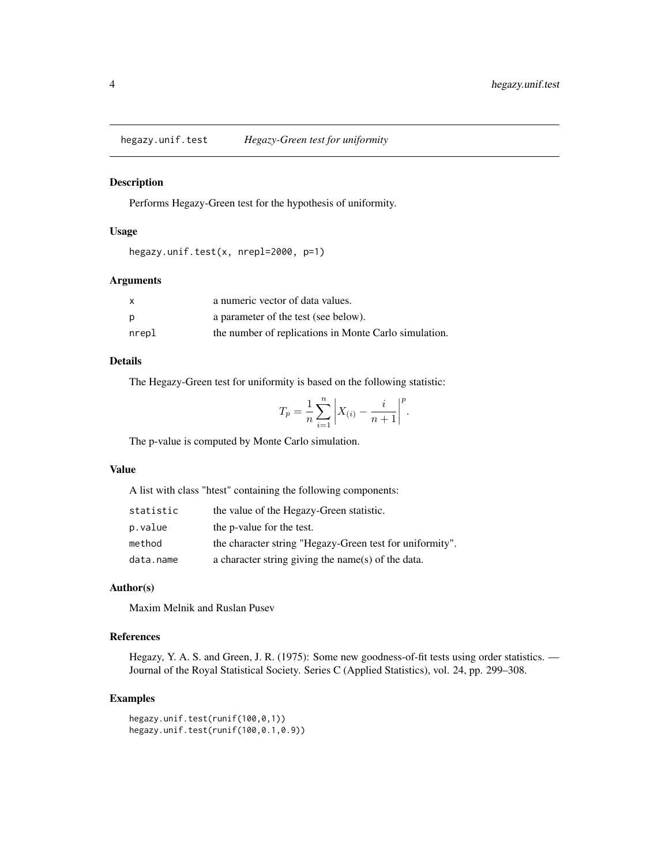<span id="page-3-0"></span>hegazy.unif.test *Hegazy-Green test for uniformity*

#### Description

Performs Hegazy-Green test for the hypothesis of uniformity.

#### Usage

```
hegazy.unif.test(x, nrepl=2000, p=1)
```
#### Arguments

| $\mathsf{x}$ | a numeric vector of data values.                      |
|--------------|-------------------------------------------------------|
| p            | a parameter of the test (see below).                  |
| nrepl        | the number of replications in Monte Carlo simulation. |

#### Details

The Hegazy-Green test for uniformity is based on the following statistic:

$$
T_p = \frac{1}{n} \sum_{i=1}^{n} \left| X_{(i)} - \frac{i}{n+1} \right|^p
$$

.

The p-value is computed by Monte Carlo simulation.

#### Value

A list with class "htest" containing the following components:

| statistic | the value of the Hegazy-Green statistic.                 |
|-----------|----------------------------------------------------------|
| p.value   | the p-value for the test.                                |
| method    | the character string "Hegazy-Green test for uniformity". |
| data.name | a character string giving the name(s) of the data.       |

#### Author(s)

Maxim Melnik and Ruslan Pusev

# References

Hegazy, Y. A. S. and Green, J. R. (1975): Some new goodness-of-fit tests using order statistics. — Journal of the Royal Statistical Society. Series C (Applied Statistics), vol. 24, pp. 299–308.

```
hegazy.unif.test(runif(100,0,1))
hegazy.unif.test(runif(100,0.1,0.9))
```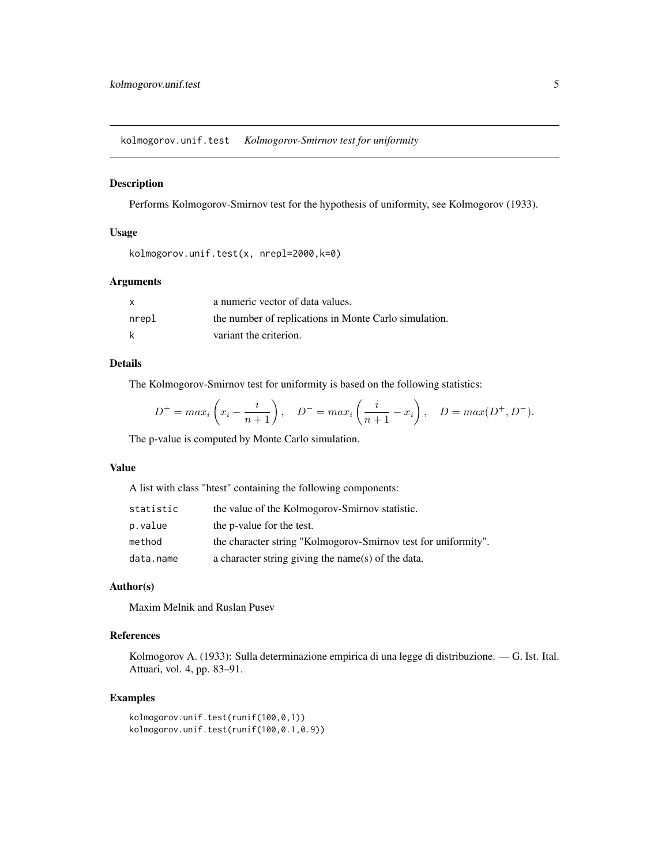<span id="page-4-0"></span>kolmogorov.unif.test *Kolmogorov-Smirnov test for uniformity*

#### Description

Performs Kolmogorov-Smirnov test for the hypothesis of uniformity, see Kolmogorov (1933).

#### Usage

```
kolmogorov.unif.test(x, nrepl=2000,k=0)
```
#### Arguments

|       | a numeric vector of data values.                      |
|-------|-------------------------------------------------------|
| nrepl | the number of replications in Monte Carlo simulation. |
| k     | variant the criterion.                                |

#### Details

The Kolmogorov-Smirnov test for uniformity is based on the following statistics:

$$
D^{+} = max_{i} \left( x_{i} - \frac{i}{n+1} \right), \quad D^{-} = max_{i} \left( \frac{i}{n+1} - x_{i} \right), \quad D = max(D^{+}, D^{-}).
$$

The p-value is computed by Monte Carlo simulation.

#### Value

A list with class "htest" containing the following components:

| statistic | the value of the Kolmogorov-Smirnov statistic.                 |
|-----------|----------------------------------------------------------------|
| p.value   | the p-value for the test.                                      |
| method    | the character string "Kolmogorov-Smirnov test for uniformity". |
| data.name | a character string giving the name(s) of the data.             |

#### Author(s)

Maxim Melnik and Ruslan Pusev

# References

Kolmogorov A. (1933): Sulla determinazione empirica di una legge di distribuzione. — G. Ist. Ital. Attuari, vol. 4, pp. 83–91.

#### Examples

kolmogorov.unif.test(runif(100,0,1)) kolmogorov.unif.test(runif(100,0.1,0.9))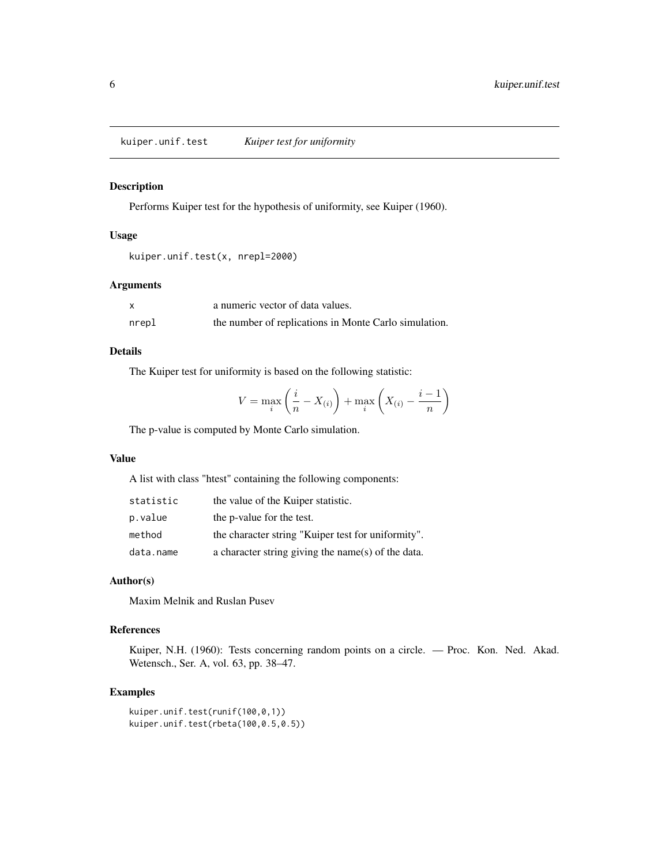<span id="page-5-0"></span>kuiper.unif.test *Kuiper test for uniformity*

# Description

Performs Kuiper test for the hypothesis of uniformity, see Kuiper (1960).

#### Usage

```
kuiper.unif.test(x, nrepl=2000)
```
# Arguments

|       | a numeric vector of data values.                      |
|-------|-------------------------------------------------------|
| nrepl | the number of replications in Monte Carlo simulation. |

### Details

The Kuiper test for uniformity is based on the following statistic:

$$
V = \max_{i} \left( \frac{i}{n} - X_{(i)} \right) + \max_{i} \left( X_{(i)} - \frac{i-1}{n} \right)
$$

The p-value is computed by Monte Carlo simulation.

#### Value

A list with class "htest" containing the following components:

| statistic | the value of the Kuiper statistic.                 |
|-----------|----------------------------------------------------|
| p.value   | the p-value for the test.                          |
| method    | the character string "Kuiper test for uniformity". |
| data.name | a character string giving the name(s) of the data. |

### Author(s)

Maxim Melnik and Ruslan Pusev

#### References

Kuiper, N.H. (1960): Tests concerning random points on a circle. — Proc. Kon. Ned. Akad. Wetensch., Ser. A, vol. 63, pp. 38–47.

```
kuiper.unif.test(runif(100,0,1))
kuiper.unif.test(rbeta(100,0.5,0.5))
```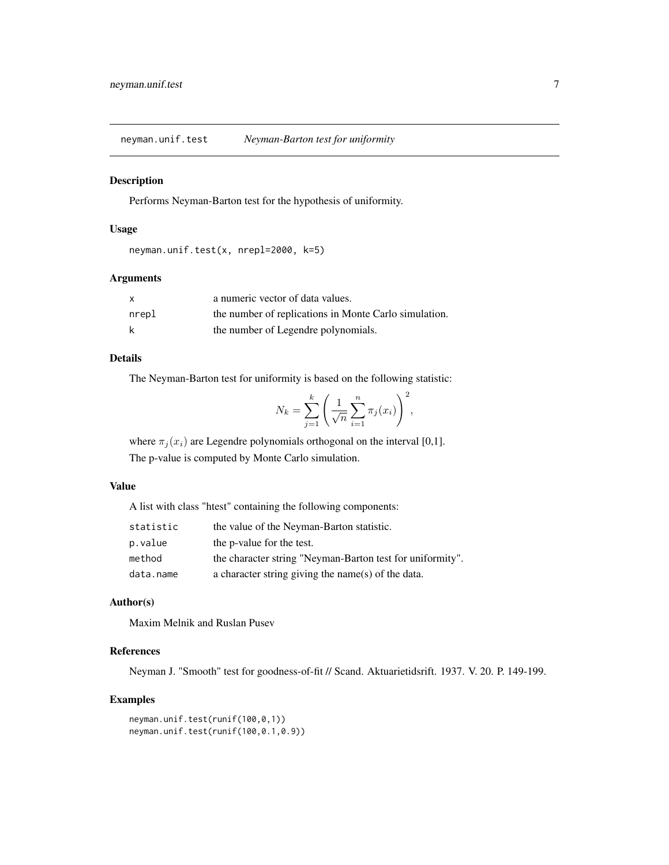<span id="page-6-0"></span>neyman.unif.test *Neyman-Barton test for uniformity*

#### Description

Performs Neyman-Barton test for the hypothesis of uniformity.

# Usage

```
neyman.unif.test(x, nrepl=2000, k=5)
```
# Arguments

| X     | a numeric vector of data values.                      |
|-------|-------------------------------------------------------|
| nrepl | the number of replications in Monte Carlo simulation. |
|       | the number of Legendre polynomials.                   |

# Details

The Neyman-Barton test for uniformity is based on the following statistic:

$$
N_k = \sum_{j=1}^k \left( \frac{1}{\sqrt{n}} \sum_{i=1}^n \pi_j(x_i) \right)^2,
$$

where  $\pi_i(x_i)$  are Legendre polynomials orthogonal on the interval [0,1].

The p-value is computed by Monte Carlo simulation.

### Value

A list with class "htest" containing the following components:

| statistic | the value of the Neyman-Barton statistic.                 |
|-----------|-----------------------------------------------------------|
| p.value   | the p-value for the test.                                 |
| method    | the character string "Neyman-Barton test for uniformity". |
| data.name | a character string giving the name(s) of the data.        |

# Author(s)

Maxim Melnik and Ruslan Pusev

# References

Neyman J. "Smooth" test for goodness-of-fit // Scand. Aktuarietidsrift. 1937. V. 20. P. 149-199.

```
neyman.unif.test(runif(100,0,1))
neyman.unif.test(runif(100,0.1,0.9))
```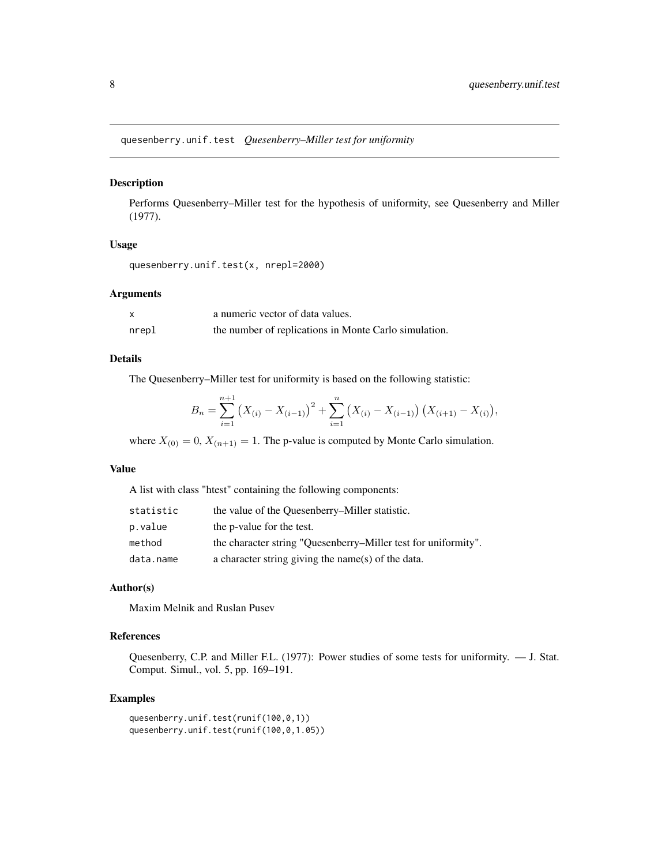<span id="page-7-0"></span>quesenberry.unif.test *Quesenberry–Miller test for uniformity*

#### Description

Performs Quesenberry–Miller test for the hypothesis of uniformity, see Quesenberry and Miller (1977).

#### Usage

```
quesenberry.unif.test(x, nrepl=2000)
```
 $\frac{1}{1}$ 

# Arguments

| x     | a numeric vector of data values.                      |
|-------|-------------------------------------------------------|
| nrepl | the number of replications in Monte Carlo simulation. |

# Details

The Quesenberry–Miller test for uniformity is based on the following statistic:

$$
B_n = \sum_{i=1}^{n+1} (X_{(i)} - X_{(i-1)})^2 + \sum_{i=1}^n (X_{(i)} - X_{(i-1)}) (X_{(i+1)} - X_{(i)}),
$$

where  $X_{(0)} = 0$ ,  $X_{(n+1)} = 1$ . The p-value is computed by Monte Carlo simulation.

# Value

A list with class "htest" containing the following components:

| statistic | the value of the Quesenberry–Miller statistic.                 |
|-----------|----------------------------------------------------------------|
| p.value   | the p-value for the test.                                      |
| method    | the character string "Ouesenberry–Miller test for uniformity". |
| data.name | a character string giving the name(s) of the data.             |

# Author(s)

Maxim Melnik and Ruslan Pusev

# References

Quesenberry, C.P. and Miller F.L. (1977): Power studies of some tests for uniformity. — J. Stat. Comput. Simul., vol. 5, pp. 169–191.

```
quesenberry.unif.test(runif(100,0,1))
quesenberry.unif.test(runif(100,0,1.05))
```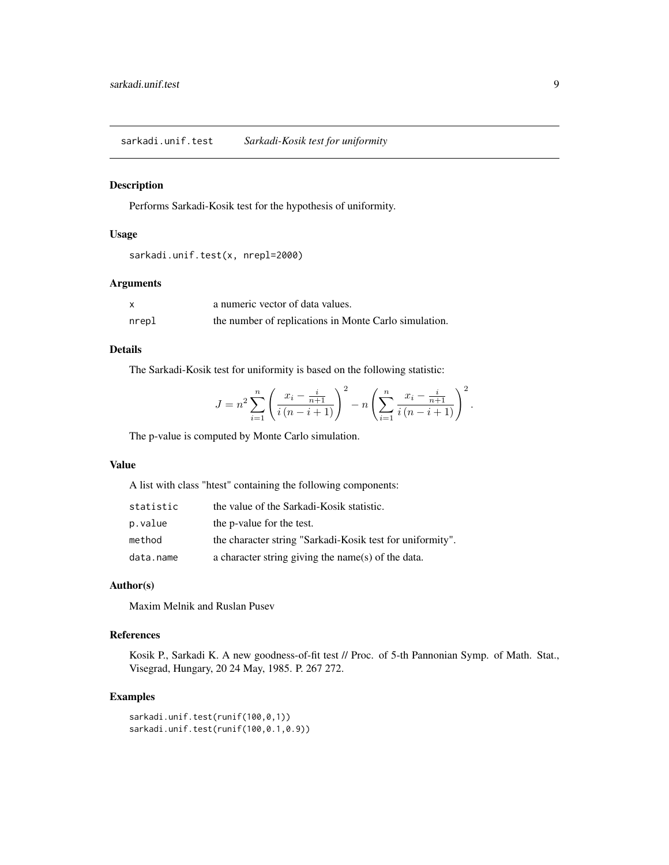<span id="page-8-0"></span>sarkadi.unif.test *Sarkadi-Kosik test for uniformity*

# Description

Performs Sarkadi-Kosik test for the hypothesis of uniformity.

# Usage

```
sarkadi.unif.test(x, nrepl=2000)
```
# Arguments

|       | a numeric vector of data values.                      |
|-------|-------------------------------------------------------|
| nrepl | the number of replications in Monte Carlo simulation. |

# Details

The Sarkadi-Kosik test for uniformity is based on the following statistic:

$$
J = n^{2} \sum_{i=1}^{n} \left( \frac{x_{i} - \frac{i}{n+1}}{i(n-i+1)} \right)^{2} - n \left( \sum_{i=1}^{n} \frac{x_{i} - \frac{i}{n+1}}{i(n-i+1)} \right)^{2}.
$$

The p-value is computed by Monte Carlo simulation.

#### Value

A list with class "htest" containing the following components:

| statistic | the value of the Sarkadi-Kosik statistic.                 |
|-----------|-----------------------------------------------------------|
| p.value   | the p-value for the test.                                 |
| method    | the character string "Sarkadi-Kosik test for uniformity". |
| data.name | a character string giving the name(s) of the data.        |

# Author(s)

Maxim Melnik and Ruslan Pusev

# References

Kosik P., Sarkadi K. A new goodness-of-fit test // Proc. of 5-th Pannonian Symp. of Math. Stat., Visegrad, Hungary, 20 24 May, 1985. P. 267 272.

```
sarkadi.unif.test(runif(100,0,1))
sarkadi.unif.test(runif(100,0.1,0.9))
```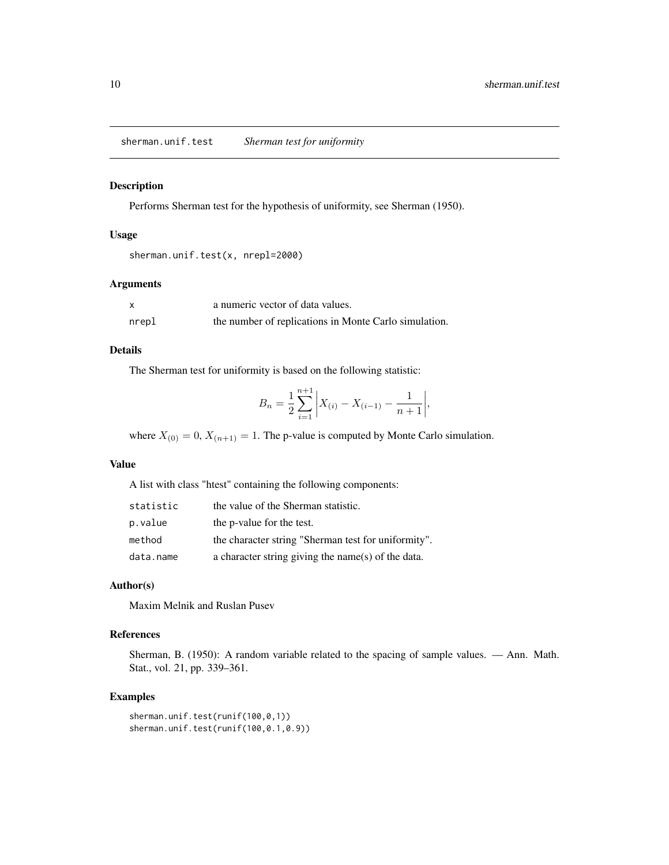<span id="page-9-0"></span>sherman.unif.test *Sherman test for uniformity*

# Description

Performs Sherman test for the hypothesis of uniformity, see Sherman (1950).

# Usage

```
sherman.unif.test(x, nrepl=2000)
```
# Arguments

|       | a numeric vector of data values.                      |
|-------|-------------------------------------------------------|
| nrepl | the number of replications in Monte Carlo simulation. |

### Details

The Sherman test for uniformity is based on the following statistic:

$$
B_n = \frac{1}{2} \sum_{i=1}^{n+1} \left| X_{(i)} - X_{(i-1)} - \frac{1}{n+1} \right|,
$$

where  $X_{(0)} = 0$ ,  $X_{(n+1)} = 1$ . The p-value is computed by Monte Carlo simulation.

#### Value

A list with class "htest" containing the following components:

| statistic | the value of the Sherman statistic.                 |
|-----------|-----------------------------------------------------|
| p.value   | the p-value for the test.                           |
| method    | the character string "Sherman test for uniformity". |
| data.name | a character string giving the name(s) of the data.  |

# Author(s)

Maxim Melnik and Ruslan Pusev

#### References

Sherman, B. (1950): A random variable related to the spacing of sample values. — Ann. Math. Stat., vol. 21, pp. 339–361.

```
sherman.unif.test(runif(100,0,1))
sherman.unif.test(runif(100,0.1,0.9))
```